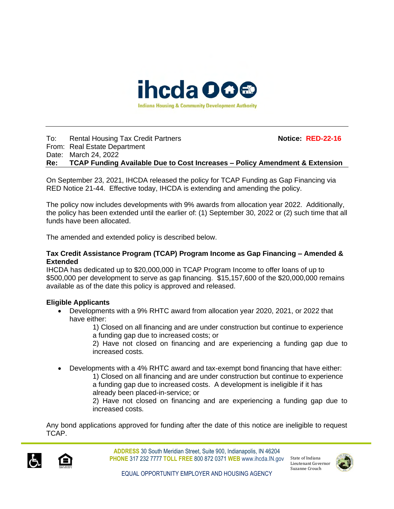

#### To: Rental Housing Tax Credit Partners **Notice: RED-22-16** From: Real Estate Department Date: March 24, 2022 **Re: TCAP Funding Available Due to Cost Increases – Policy Amendment & Extension**

On September 23, 2021, IHCDA released the policy for TCAP Funding as Gap Financing via RED Notice 21-44. Effective today, IHCDA is extending and amending the policy.

The policy now includes developments with 9% awards from allocation year 2022. Additionally, the policy has been extended until the earlier of: (1) September 30, 2022 or (2) such time that all funds have been allocated.

The amended and extended policy is described below.

### **Tax Credit Assistance Program (TCAP) Program Income as Gap Financing – Amended & Extended**

IHCDA has dedicated up to \$20,000,000 in TCAP Program Income to offer loans of up to \$500,000 per development to serve as gap financing. \$15,157,600 of the \$20,000,000 remains available as of the date this policy is approved and released.

# **Eligible Applicants**

• Developments with a 9% RHTC award from allocation year 2020, 2021, or 2022 that have either:

1) Closed on all financing and are under construction but continue to experience a funding gap due to increased costs; or

2) Have not closed on financing and are experiencing a funding gap due to increased costs.

• Developments with a 4% RHTC award and tax-exempt bond financing that have either:

1) Closed on all financing and are under construction but continue to experience a funding gap due to increased costs. A development is ineligible if it has already been placed-in-service; or

2) Have not closed on financing and are experiencing a funding gap due to increased costs.

Any bond applications approved for funding after the date of this notice are ineligible to request TCAP.



**ADDRESS** 30 South Meridian Street, Suite 900, Indianapolis, IN 46204 **PHONE** 317 232 7777 **TOLL FREE** 800 872 0371 **WEB** www.ihcda.IN.gov